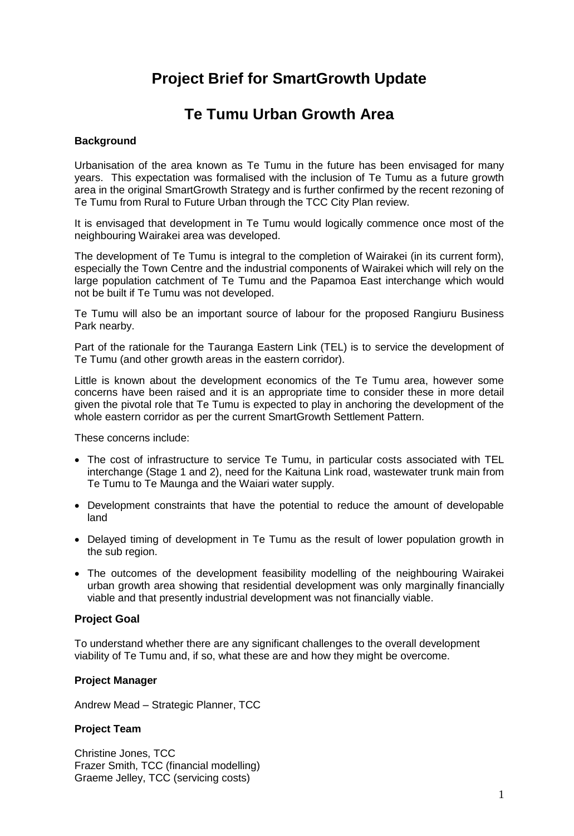# **Project Brief for SmartGrowth Update**

# **Te Tumu Urban Growth Area**

#### **Background**

Urbanisation of the area known as Te Tumu in the future has been envisaged for many years. This expectation was formalised with the inclusion of Te Tumu as a future growth area in the original SmartGrowth Strategy and is further confirmed by the recent rezoning of Te Tumu from Rural to Future Urban through the TCC City Plan review.

It is envisaged that development in Te Tumu would logically commence once most of the neighbouring Wairakei area was developed.

The development of Te Tumu is integral to the completion of Wairakei (in its current form), especially the Town Centre and the industrial components of Wairakei which will rely on the large population catchment of Te Tumu and the Papamoa East interchange which would not be built if Te Tumu was not developed.

Te Tumu will also be an important source of labour for the proposed Rangiuru Business Park nearby.

Part of the rationale for the Tauranga Eastern Link (TEL) is to service the development of Te Tumu (and other growth areas in the eastern corridor).

Little is known about the development economics of the Te Tumu area, however some concerns have been raised and it is an appropriate time to consider these in more detail given the pivotal role that Te Tumu is expected to play in anchoring the development of the whole eastern corridor as per the current SmartGrowth Settlement Pattern.

These concerns include:

- The cost of infrastructure to service Te Tumu, in particular costs associated with TEL interchange (Stage 1 and 2), need for the Kaituna Link road, wastewater trunk main from Te Tumu to Te Maunga and the Waiari water supply.
- Development constraints that have the potential to reduce the amount of developable land
- Delayed timing of development in Te Tumu as the result of lower population growth in the sub region.
- The outcomes of the development feasibility modelling of the neighbouring Wairakei urban growth area showing that residential development was only marginally financially viable and that presently industrial development was not financially viable.

#### **Project Goal**

To understand whether there are any significant challenges to the overall development viability of Te Tumu and, if so, what these are and how they might be overcome.

#### **Project Manager**

Andrew Mead – Strategic Planner, TCC

#### **Project Team**

Christine Jones, TCC Frazer Smith, TCC (financial modelling) Graeme Jelley, TCC (servicing costs)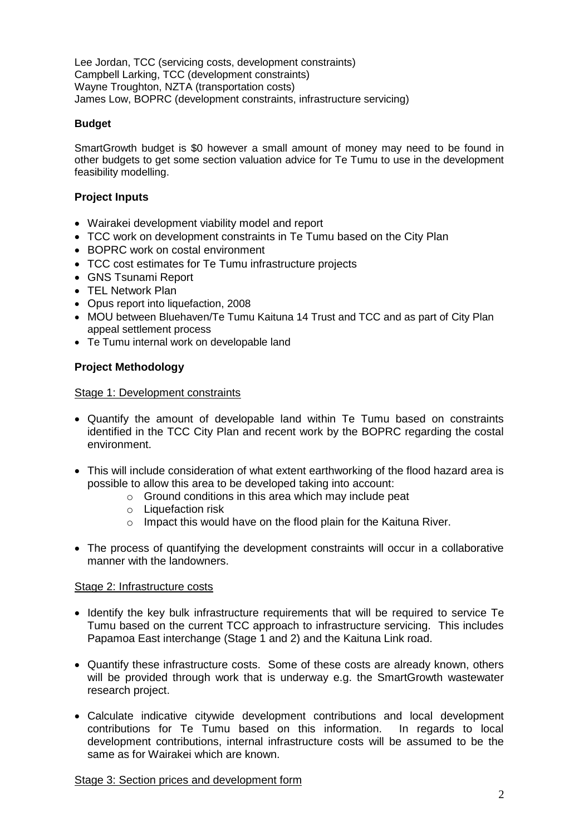Lee Jordan, TCC (servicing costs, development constraints) Campbell Larking, TCC (development constraints) Wayne Troughton, NZTA (transportation costs) James Low, BOPRC (development constraints, infrastructure servicing)

## **Budget**

SmartGrowth budget is \$0 however a small amount of money may need to be found in other budgets to get some section valuation advice for Te Tumu to use in the development feasibility modelling.

# **Project Inputs**

- Wairakei development viability model and report
- TCC work on development constraints in Te Tumu based on the City Plan
- BOPRC work on costal environment
- TCC cost estimates for Te Tumu infrastructure projects
- GNS Tsunami Report
- TEL Network Plan
- Opus report into liquefaction, 2008
- MOU between Bluehaven/Te Tumu Kaituna 14 Trust and TCC and as part of City Plan appeal settlement process
- Te Tumu internal work on developable land

# **Project Methodology**

## Stage 1: Development constraints

- Quantify the amount of developable land within Te Tumu based on constraints identified in the TCC City Plan and recent work by the BOPRC regarding the costal environment.
- This will include consideration of what extent earthworking of the flood hazard area is possible to allow this area to be developed taking into account:
	- o Ground conditions in this area which may include peat
	- $\circ$  Liquefaction risk
	- o Impact this would have on the flood plain for the Kaituna River.
- The process of quantifying the development constraints will occur in a collaborative manner with the landowners.

## Stage 2: Infrastructure costs

- Identify the key bulk infrastructure requirements that will be required to service Te Tumu based on the current TCC approach to infrastructure servicing. This includes Papamoa East interchange (Stage 1 and 2) and the Kaituna Link road.
- Quantify these infrastructure costs. Some of these costs are already known, others will be provided through work that is underway e.g. the SmartGrowth wastewater research project.
- Calculate indicative citywide development contributions and local development contributions for Te Tumu based on this information. In regards to local development contributions, internal infrastructure costs will be assumed to be the same as for Wairakei which are known.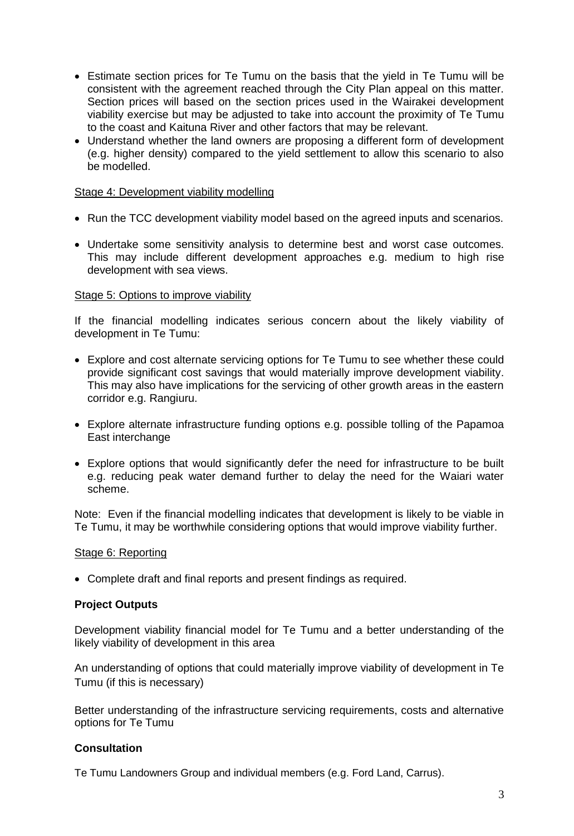- Estimate section prices for Te Tumu on the basis that the yield in Te Tumu will be consistent with the agreement reached through the City Plan appeal on this matter. Section prices will based on the section prices used in the Wairakei development viability exercise but may be adjusted to take into account the proximity of Te Tumu to the coast and Kaituna River and other factors that may be relevant.
- Understand whether the land owners are proposing a different form of development (e.g. higher density) compared to the yield settlement to allow this scenario to also be modelled.

#### Stage 4: Development viability modelling

- Run the TCC development viability model based on the agreed inputs and scenarios.
- Undertake some sensitivity analysis to determine best and worst case outcomes. This may include different development approaches e.g. medium to high rise development with sea views.

#### Stage 5: Options to improve viability

If the financial modelling indicates serious concern about the likely viability of development in Te Tumu:

- Explore and cost alternate servicing options for Te Tumu to see whether these could provide significant cost savings that would materially improve development viability. This may also have implications for the servicing of other growth areas in the eastern corridor e.g. Rangiuru.
- Explore alternate infrastructure funding options e.g. possible tolling of the Papamoa East interchange
- Explore options that would significantly defer the need for infrastructure to be built e.g. reducing peak water demand further to delay the need for the Waiari water scheme.

Note: Even if the financial modelling indicates that development is likely to be viable in Te Tumu, it may be worthwhile considering options that would improve viability further.

## Stage 6: Reporting

Complete draft and final reports and present findings as required.

## **Project Outputs**

Development viability financial model for Te Tumu and a better understanding of the likely viability of development in this area

An understanding of options that could materially improve viability of development in Te Tumu (if this is necessary)

Better understanding of the infrastructure servicing requirements, costs and alternative options for Te Tumu

## **Consultation**

Te Tumu Landowners Group and individual members (e.g. Ford Land, Carrus).